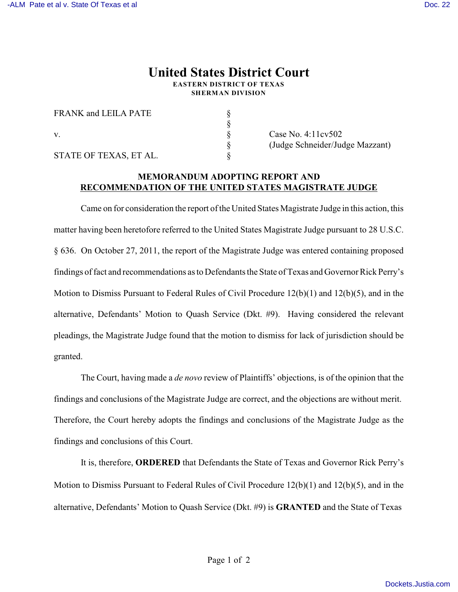## **United States District Court**

**EASTERN DISTRICT OF TEXAS SHERMAN DIVISION**

§

FRANK and LEILA PATE  $\S$ v. S Case No. 4:11cv502 STATE OF TEXAS, ET AL.

§ (Judge Schneider/Judge Mazzant)

## **MEMORANDUM ADOPTING REPORT AND RECOMMENDATION OF THE UNITED STATES MAGISTRATE JUDGE**

Came on for consideration the report of the United States Magistrate Judge in this action, this matter having been heretofore referred to the United States Magistrate Judge pursuant to 28 U.S.C. § 636. On October 27, 2011, the report of the Magistrate Judge was entered containing proposed findings of fact and recommendations as to Defendants the State of Texas and Governor Rick Perry's Motion to Dismiss Pursuant to Federal Rules of Civil Procedure 12(b)(1) and 12(b)(5), and in the alternative, Defendants' Motion to Quash Service (Dkt. #9). Having considered the relevant pleadings, the Magistrate Judge found that the motion to dismiss for lack of jurisdiction should be granted.

The Court, having made a *de novo* review of Plaintiffs' objections, is of the opinion that the findings and conclusions of the Magistrate Judge are correct, and the objections are without merit. Therefore, the Court hereby adopts the findings and conclusions of the Magistrate Judge as the findings and conclusions of this Court.

It is, therefore, **ORDERED** that Defendants the State of Texas and Governor Rick Perry's Motion to Dismiss Pursuant to Federal Rules of Civil Procedure 12(b)(1) and 12(b)(5), and in the alternative, Defendants' Motion to Quash Service (Dkt. #9) is **GRANTED** and the State of Texas